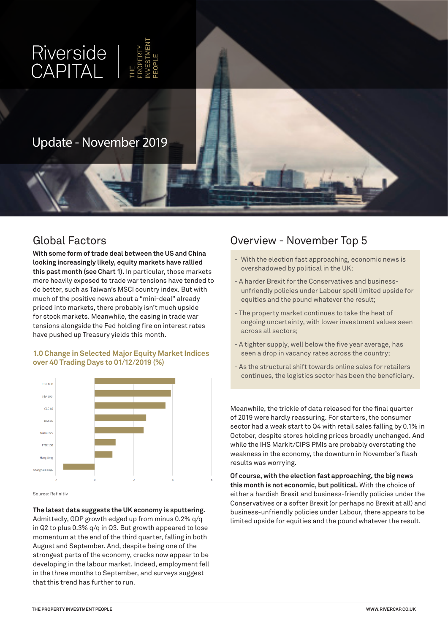

**With some form of trade deal between the US and China looking increasingly likely, equity markets have rallied this past month (see Chart 1).** In particular, those markets more heavily exposed to trade war tensions have tended to do better, such as Taiwan's MSCI country index. But with much of the positive news about a "mini-deal" already priced into markets, there probably isn't much upside for stock markets. Meanwhile, the easing in trade war tensions alongside the Fed holding fire on interest rates have pushed up Treasury yields this month.

#### **1.0 Change in Selected Major Equity Market Indices over 40 Trading Days to 01/12/2019 (%)**



Source: Refinitiv

**The latest data suggests the UK economy is sputtering.**  Admittedly, GDP growth edged up from minus 0.2% q/q in Q2 to plus 0.3% q/q in Q3. But growth appeared to lose momentum at the end of the third quarter, falling in both August and September. And, despite being one of the strongest parts of the economy, cracks now appear to be developing in the labour market. Indeed, employment fell in the three months to September, and surveys suggest that this trend has further to run.

# Global Factors Overview - November Top 5

- With the election fast approaching, economic news is overshadowed by political in the UK;
- A harder Brexit for the Conservatives and businessunfriendly policies under Labour spell limited upside for equities and the pound whatever the result;
- The property market continues to take the heat of ongoing uncertainty, with lower investment values seen across all sectors;
- A tighter supply, well below the five year average, has seen a drop in vacancy rates across the country;
- As the structural shift towards online sales for retailers continues, the logistics sector has been the beneficiary.

Meanwhile, the trickle of data released for the final quarter of 2019 were hardly reassuring. For starters, the consumer sector had a weak start to Q4 with retail sales falling by 0.1% in October, despite stores holding prices broadly unchanged. And while the IHS Markit/CIPS PMIs are probably overstating the weakness in the economy, the downturn in November's flash results was worrying.

**Of course, with the election fast approaching, the big news this month is not economic, but political.** With the choice of either a hardish Brexit and business-friendly policies under the Conservatives or a softer Brexit (or perhaps no Brexit at all) and business-unfriendly policies under Labour, there appears to be limited upside for equities and the pound whatever the result.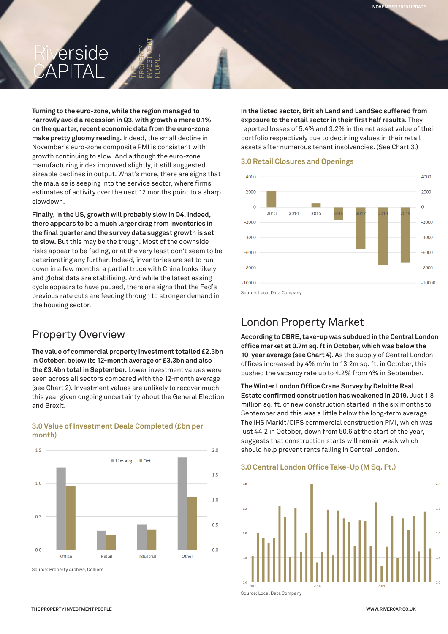# erside

**Turning to the euro-zone, while the region managed to narrowly avoid a recession in Q3, with growth a mere 0.1% on the quarter, recent economic data from the euro-zone make pretty gloomy reading.** Indeed, the small decline in November's euro-zone composite PMI is consistent with growth continuing to slow. And although the euro-zone manufacturing index improved slightly, it still suggested sizeable declines in output. What's more, there are signs that the malaise is seeping into the service sector, where firms' estimates of activity over the next 12 months point to a sharp slowdown.

**Finally, in the US, growth will probably slow in Q4. Indeed, there appears to be a much larger drag from inventories in the final quarter and the survey data suggest growth is set to slow.** But this may be the trough. Most of the downside risks appear to be fading, or at the very least don't seem to be deteriorating any further. Indeed, inventories are set to run down in a few months, a partial truce with China looks likely and global data are stabilising. And while the latest easing cycle appears to have paused, there are signs that the Fed's previous rate cuts are feeding through to stronger demand in the housing sector.

## Property Overview

**month)**

**The value of commercial property investment totalled £2.3bn in October, below its 12-month average of £3.3bn and also the £3.4bn total in September.** Lower investment values were seen across all sectors compared with the 12-month average (see Chart 2). Investment values are unlikely to recover much this year given ongoing uncertainty about the General Election and Brexit.

**3.0 Value of Investment Deals Completed (£bn per** 

 $1.5$  $2.0$  $12m$  avg.  $\Box$  Oct  $1.5$  $1<sub>0</sub>$  $1.0$  $0.5$  $0.5$  $0.0$  $0.0$ Office Retai Industrial Other Source: Property Archive, Colliers

**In the listed sector, British Land and LandSec suffered from exposure to the retail sector in their first half results.** They reported losses of 5.4% and 3.2% in the net asset value of their portfolio respectively due to declining values in their retail assets after numerous tenant insolvencies. (See Chart 3.)

**JUNE 2019 UPDATE NOVEMBER 2019 UPDATE**

#### **3.0 Retail Closures and Openings**



# London Property Market

**According to CBRE, take-up was subdued in the Central London office market at 0.7m sq. ft in October, which was below the 10-year average (see Chart 4).** As the supply of Central London offices increased by 4% m/m to 13.2m sq. ft. in October, this pushed the vacancy rate up to 4.2% from 4% in September.

**The Winter London Office Crane Survey by Deloitte Real Estate confirmed construction has weakened in 2019.** Just 1.8 million sq. ft. of new construction started in the six months to September and this was a little below the long-term average. The IHS Markit/CIPS commercial construction PMI, which was just 44.2 in October, down from 50.6 at the start of the year, suggests that construction starts will remain weak which should help prevent rents falling in Central London.

#### **3.0 Central London Office Take-Up (M Sq. Ft.)**